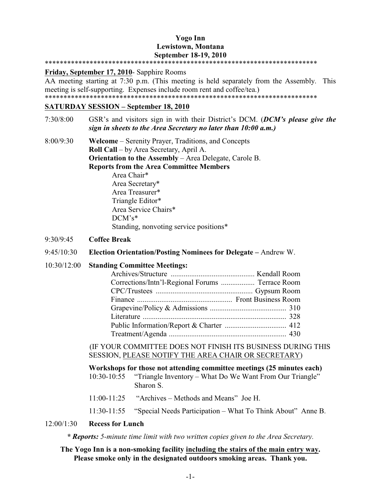# **Yogo Inn Lewistown, Montana September 18-19, 2010**

#### \*\*\*\*\*\*\*\*\*\*\*\*\*\*\*\*\*\*\*\*\*\*\*\*\*\*\*\*\*\*\*\*\*\*\*\*\*\*\*\*\*\*\*\*\*\*\*\*\*\*\*\*\*\*\*\*\*\*\*\*\*\*\*\*\*\*\*\*\*\*\*\*\*

**Friday, September 17, 2010**- Sapphire Rooms

AA meeting starting at 7:30 p.m. (This meeting is held separately from the Assembly. This meeting is self-supporting. Expenses include room rent and coffee/tea.) \*\*\*\*\*\*\*\*\*\*\*\*\*\*\*\*\*\*\*\*\*\*\*\*\*\*\*\*\*\*\*\*\*\*\*\*\*\*\*\*\*\*\*\*\*\*\*\*\*\*\*\*\*\*\*\*\*\*\*\*\*\*\*\*\*\*\*\*\*\*\*\*\*

#### **SATURDAY SESSION – September 18, 2010**

- 7:30/8:00 GSR's and visitors sign in with their District's DCM. (*DCM's please give the sign in sheets to the Area Secretary no later than 10:00 a.m.)*
- 8:00/9:30 **Welcome** Serenity Prayer, Traditions, and Concepts **Roll Call** – by Area Secretary, April A. **Orientation to the Assembly** – Area Delegate, Carole B. **Reports from the Area Committee Members** Area Chair\* Area Secretary\*

Area Treasurer\* Triangle Editor\* Area Service Chairs\* DCM's\* Standing, nonvoting service positions\*

# 9:30/9:45 **Coffee Break**

- 9:45/10:30 **Election Orientation/Posting Nominees for Delegate** Andrew W.
- 10:30/12:00 **Standing Committee Meetings:**

| Corrections/Intn'1-Regional Forums  Terrace Room |  |
|--------------------------------------------------|--|
|                                                  |  |
|                                                  |  |
|                                                  |  |
|                                                  |  |
|                                                  |  |
|                                                  |  |
|                                                  |  |

(IF YOUR COMMITTEE DOES NOT FINISH ITS BUSINESS DURING THIS SESSION, PLEASE NOTIFY THE AREA CHAIR OR SECRETARY)

| Workshops for those not attending committee meetings (25 minutes each) |                                                                                   |
|------------------------------------------------------------------------|-----------------------------------------------------------------------------------|
|                                                                        | 10:30-10:55 "Triangle Inventory – What Do We Want From Our Triangle"<br>Sharon S. |
|                                                                        | $11:00-11:25$ "Archives – Methods and Means" Joe H.                               |
|                                                                        | 11:30-11:55 "Special Needs Participation – What To Think About" Anne B.           |

# 12:00/1:30 **Recess for Lunch**

*\* Reports: 5-minute time limit with two written copies given to the Area Secretary.*

## **The Yogo Inn is a non-smoking facility including the stairs of the main entry way. Please smoke only in the designated outdoors smoking areas. Thank you.**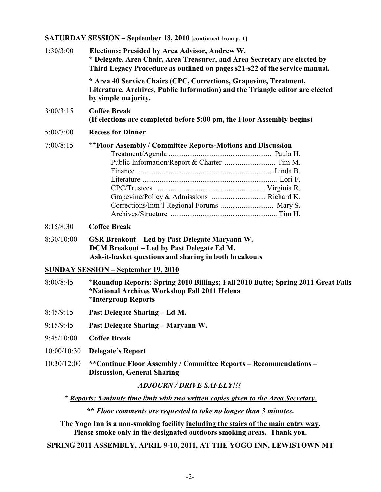# **SATURDAY SESSION – September 18, 2010 [continued from p. 1]**

| 1:30/3:00   | Elections: Presided by Area Advisor, Andrew W.<br>* Delegate, Area Chair, Area Treasurer, and Area Secretary are elected by<br>Third Legacy Procedure as outlined on pages s21-s22 of the service manual. |
|-------------|-----------------------------------------------------------------------------------------------------------------------------------------------------------------------------------------------------------|
|             | * Area 40 Service Chairs (CPC, Corrections, Grapevine, Treatment,<br>Literature, Archives, Public Information) and the Triangle editor are elected<br>by simple majority.                                 |
| 3:00/3:15   | <b>Coffee Break</b><br>(If elections are completed before 5:00 pm, the Floor Assembly begins)                                                                                                             |
| 5:00/7:00   | <b>Recess for Dinner</b>                                                                                                                                                                                  |
| 7:00/8:15   | ** Floor Assembly / Committee Reports-Motions and Discussion<br>Corrections/Intn'l-Regional Forums  Mary S.                                                                                               |
| 8:15/8:30   | <b>Coffee Break</b>                                                                                                                                                                                       |
| 8:30/10:00  | <b>GSR Breakout – Led by Past Delegate Maryann W.</b><br>DCM Breakout - Led by Past Delegate Ed M.<br>Ask-it-basket questions and sharing in both breakouts                                               |
|             | <b>SUNDAY SESSION - September 19, 2010</b>                                                                                                                                                                |
| 8:00/8:45   | *Roundup Reports: Spring 2010 Billings; Fall 2010 Butte; Spring 2011 Great Falls<br>*National Archives Workshop Fall 2011 Helena<br>*Intergroup Reports                                                   |
| 8:45/9:15   | Past Delegate Sharing – Ed M.                                                                                                                                                                             |
| 9:15/9:45   | Past Delegate Sharing - Maryann W.                                                                                                                                                                        |
| 9:45/10:00  | <b>Coffee Break</b>                                                                                                                                                                                       |
| 10:00/10:30 | <b>Delegate's Report</b>                                                                                                                                                                                  |
| 10:30/12:00 | **Continue Floor Assembly / Committee Reports – Recommendations –<br><b>Discussion, General Sharing</b>                                                                                                   |
|             | ADJOURN / DRIVE SAFELY!!!                                                                                                                                                                                 |
|             | * Reports: 5-minute time limit with two written copies given to the Area Secretary.                                                                                                                       |

**\*\*** *Floor comments are requested to take no longer than 3 minutes***.**

**The Yogo Inn is a non-smoking facility including the stairs of the main entry way. Please smoke only in the designated outdoors smoking areas. Thank you.**

**SPRING 2011 ASSEMBLY, APRIL 9-10, 2011, AT THE YOGO INN, LEWISTOWN MT**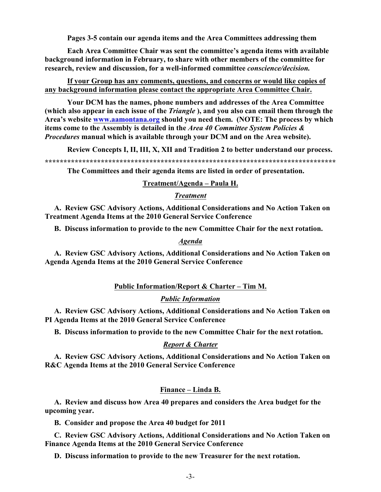Pages 3-5 contain our agenda items and the Area Committees addressing them

Each Area Committee Chair was sent the committee's agenda items with available background information in February, to share with other members of the committee for research, review and discussion, for a well-informed committee conscience/decision.

# If your Group has any comments, questions, and concerns or would like copies of any background information please contact the appropriate Area Committee Chair.

Your DCM has the names, phone numbers and addresses of the Area Committee (which also appear in each issue of the *Triangle*), and you also can email them through the Area's website www.aamontana.org should you need them. (NOTE: The process by which items come to the Assembly is detailed in the Area 40 Committee System Policies & Procedures manual which is available through your DCM and on the Area website).

Review Concepts I, II, III, X, XII and Tradition 2 to better understand our process.

The Committees and their agenda items are listed in order of presentation.

## Treatment/Agenda – Paula H.

## **Treatment**

A. Review GSC Advisory Actions, Additional Considerations and No Action Taken on **Treatment Agenda Items at the 2010 General Service Conference** 

B. Discuss information to provide to the new Committee Chair for the next rotation.

# **Agenda**

A. Review GSC Advisory Actions, Additional Considerations and No Action Taken on Agenda Agenda Items at the 2010 General Service Conference

# Public Information/Report & Charter - Tim M.

# **Public Information**

A. Review GSC Advisory Actions, Additional Considerations and No Action Taken on PI Agenda Items at the 2010 General Service Conference

B. Discuss information to provide to the new Committee Chair for the next rotation.

### **Report & Charter**

A. Review GSC Advisory Actions, Additional Considerations and No Action Taken on R&C Agenda Items at the 2010 General Service Conference

# Finance – Linda B.

A. Review and discuss how Area 40 prepares and considers the Area budget for the upcoming year.

B. Consider and propose the Area 40 budget for 2011

C. Review GSC Advisory Actions, Additional Considerations and No Action Taken on Finance Agenda Items at the 2010 General Service Conference

D. Discuss information to provide to the new Treasurer for the next rotation.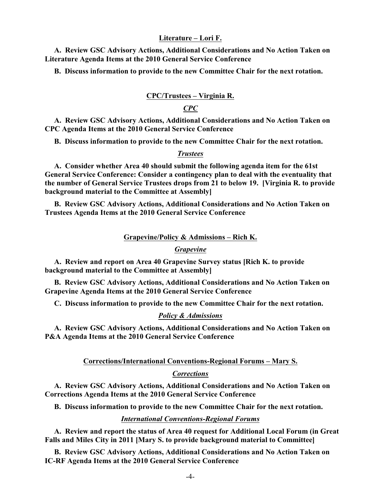## **Literature – Lori F.**

 **A. Review GSC Advisory Actions, Additional Considerations and No Action Taken on Literature Agenda Items at the 2010 General Service Conference**

 **B. Discuss information to provide to the new Committee Chair for the next rotation.**

#### **CPC/Trustees – Virginia R.**

# *CPC*

 **A. Review GSC Advisory Actions, Additional Considerations and No Action Taken on CPC Agenda Items at the 2010 General Service Conference**

 **B. Discuss information to provide to the new Committee Chair for the next rotation.**

## *Trustees*

 **A. Consider whether Area 40 should submit the following agenda item for the 61st General Service Conference: Consider a contingency plan to deal with the eventuality that the number of General Service Trustees drops from 21 to below 19. [Virginia R. to provide background material to the Committee at Assembly]** 

 **B. Review GSC Advisory Actions, Additional Considerations and No Action Taken on Trustees Agenda Items at the 2010 General Service Conference**

## **Grapevine/Policy & Admissions – Rich K.**

### *Grapevine*

 **A. Review and report on Area 40 Grapevine Survey status [Rich K. to provide background material to the Committee at Assembly]**

 **B. Review GSC Advisory Actions, Additional Considerations and No Action Taken on Grapevine Agenda Items at the 2010 General Service Conference**

 **C. Discuss information to provide to the new Committee Chair for the next rotation.**

#### *Policy & Admissions*

 **A. Review GSC Advisory Actions, Additional Considerations and No Action Taken on P&A Agenda Items at the 2010 General Service Conference**

#### **Corrections/International Conventions-Regional Forums – Mary S.**

#### *Corrections*

 **A. Review GSC Advisory Actions, Additional Considerations and No Action Taken on Corrections Agenda Items at the 2010 General Service Conference**

 **B. Discuss information to provide to the new Committee Chair for the next rotation.**

#### *International Conventions-Regional Forums*

 **A. Review and report the status of Area 40 request for Additional Local Forum (in Great Falls and Miles City in 2011 [Mary S. to provide background material to Committee]**

 **B. Review GSC Advisory Actions, Additional Considerations and No Action Taken on IC-RF Agenda Items at the 2010 General Service Conference**